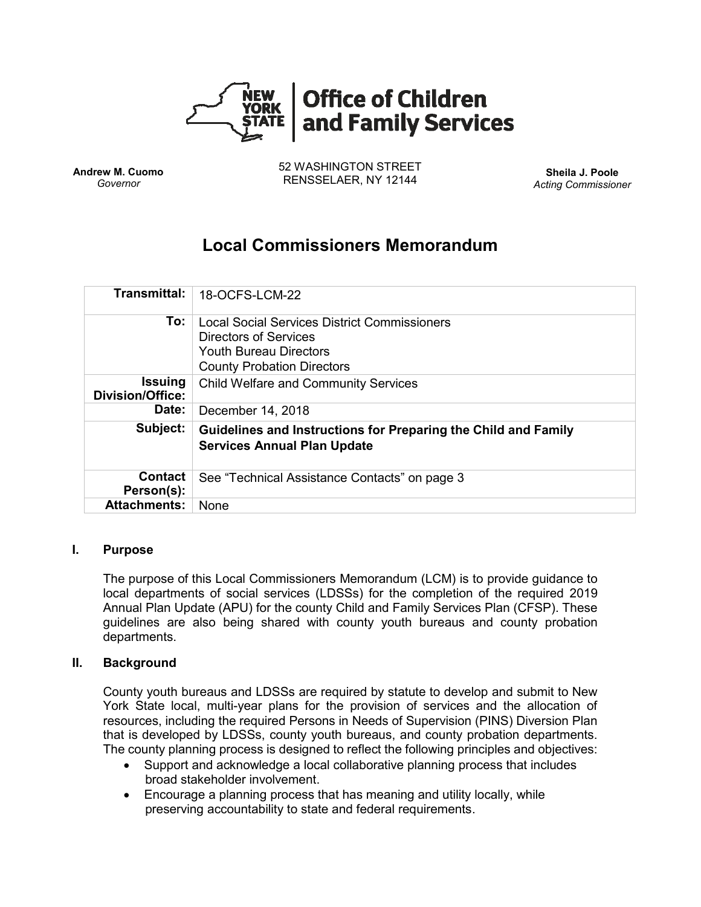

**Andrew M. Cuomo** *Governor*

52 WASHINGTON STREET RENSSELAER, NY 12144 **Sheila J. Poole**

*Acting Commissioner*

# **Local Commissioners Memorandum**

| <b>Transmittal:</b>                       | 18-OCFS-LCM-22                                                                                                                                     |
|-------------------------------------------|----------------------------------------------------------------------------------------------------------------------------------------------------|
| To:                                       | Local Social Services District Commissioners<br><b>Directors of Services</b><br><b>Youth Bureau Directors</b><br><b>County Probation Directors</b> |
| <b>Issuing</b><br><b>Division/Office:</b> | <b>Child Welfare and Community Services</b>                                                                                                        |
| Date:                                     | December 14, 2018                                                                                                                                  |
| Subject:                                  | Guidelines and Instructions for Preparing the Child and Family<br><b>Services Annual Plan Update</b>                                               |
| <b>Contact</b><br>Person(s):              | See "Technical Assistance Contacts" on page 3                                                                                                      |
| <b>Attachments:</b>                       | <b>None</b>                                                                                                                                        |

#### **I. Purpose**

The purpose of this Local Commissioners Memorandum (LCM) is to provide guidance to local departments of social services (LDSSs) for the completion of the required 2019 Annual Plan Update (APU) for the county Child and Family Services Plan (CFSP). These guidelines are also being shared with county youth bureaus and county probation departments.

#### **II. Background**

County youth bureaus and LDSSs are required by statute to develop and submit to New York State local, multi-year plans for the provision of services and the allocation of resources, including the required Persons in Needs of Supervision (PINS) Diversion Plan that is developed by LDSSs, county youth bureaus, and county probation departments. The county planning process is designed to reflect the following principles and objectives:

- Support and acknowledge a local collaborative planning process that includes broad stakeholder involvement.
- Encourage a planning process that has meaning and utility locally, while preserving accountability to state and federal requirements.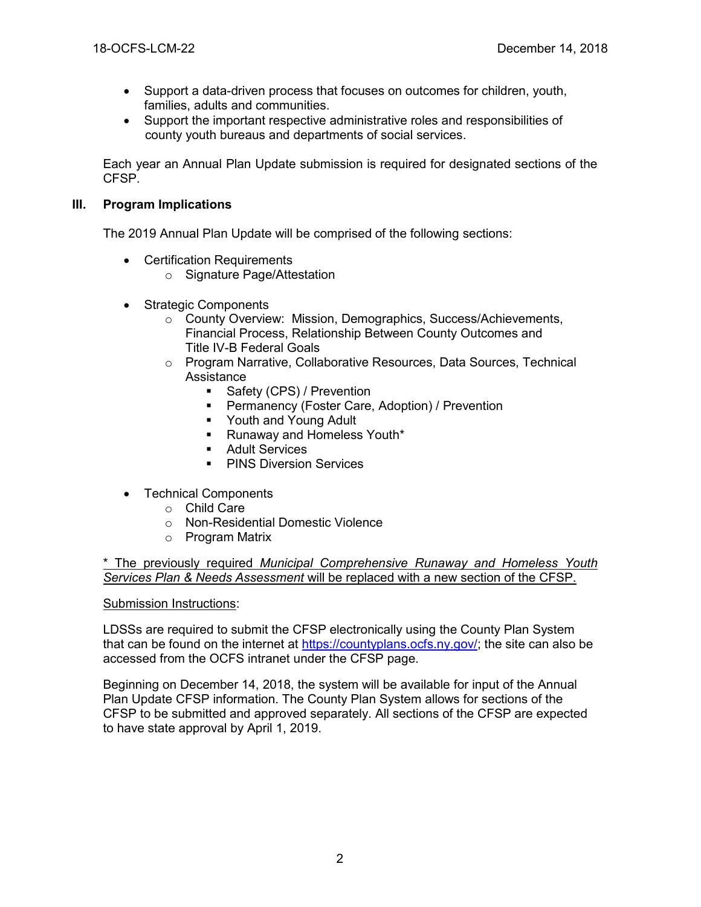- Support a data-driven process that focuses on outcomes for children, youth, families, adults and communities.
- Support the important respective administrative roles and responsibilities of county youth bureaus and departments of social services.

Each year an Annual Plan Update submission is required for designated sections of the CFSP.

# **III. Program Implications**

The 2019 Annual Plan Update will be comprised of the following sections:

- Certification Requirements
	- o Signature Page/Attestation
- Strategic Components
	- o County Overview: Mission, Demographics, Success/Achievements, Financial Process, Relationship Between County Outcomes and Title IV-B Federal Goals
	- $\circ$  Program Narrative, Collaborative Resources, Data Sources, Technical Assistance
		- Safety (CPS) / Prevention
		- **•** Permanency (Foster Care, Adoption) / Prevention
		- Youth and Young Adult
		- Runaway and Homeless Youth\*
		- Adult Services
		- PINS Diversion Services
- Technical Components
	- o Child Care
	- o Non-Residential Domestic Violence
	- o Program Matrix

\* The previously required *Municipal Comprehensive Runaway and Homeless Youth Services Plan & Needs Assessment* will be replaced with a new section of the CFSP.

## Submission Instructions:

LDSSs are required to submit the CFSP electronically using the County Plan System that can be found on the internet at [https://countyplans.ocfs.ny.gov/;](https://countyplans.ocfs.ny.gov/) the site can also be accessed from the OCFS intranet under the CFSP page.

Beginning on December 14, 2018, the system will be available for input of the Annual Plan Update CFSP information. The County Plan System allows for sections of the CFSP to be submitted and approved separately. All sections of the CFSP are expected to have state approval by April 1, 2019.